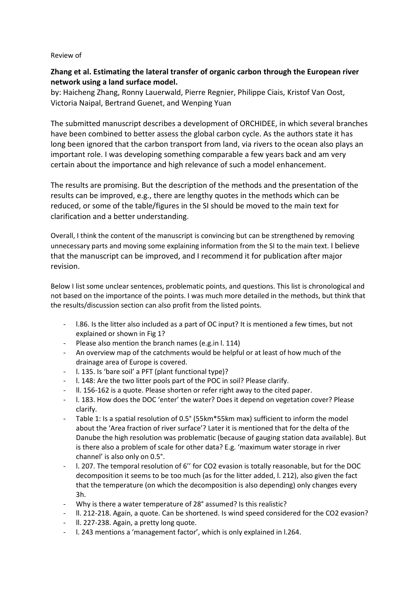## Review of

## **Zhang et al. Estimating the lateral transfer of organic carbon through the European river network using a land surface model.**

by: Haicheng Zhang, Ronny Lauerwald, Pierre Regnier, Philippe Ciais, Kristof Van Oost, Victoria Naipal, Bertrand Guenet, and Wenping Yuan

The submitted manuscript describes a development of ORCHIDEE, in which several branches have been combined to better assess the global carbon cycle. As the authors state it has long been ignored that the carbon transport from land, via rivers to the ocean also plays an important role. I was developing something comparable a few years back and am very certain about the importance and high relevance of such a model enhancement.

The results are promising. But the description of the methods and the presentation of the results can be improved, e.g., there are lengthy quotes in the methods which can be reduced, or some of the table/figures in the SI should be moved to the main text for clarification and a better understanding.

Overall, I think the content of the manuscript is convincing but can be strengthened by removing unnecessary parts and moving some explaining information from the SI to the main text. I believe that the manuscript can be improved, and I recommend it for publication after major revision.

Below I list some unclear sentences, problematic points, and questions. This list is chronological and not based on the importance of the points. I was much more detailed in the methods, but think that the results/discussion section can also profit from the listed points.

- l.86. Is the litter also included as a part of OC input? It is mentioned a few times, but not explained or shown in Fig 1?
- Please also mention the branch names (e.g.in l. 114)
- An overview map of the catchments would be helpful or at least of how much of the drainage area of Europe is covered.
- l. 135. Is 'bare soil' a PFT (plant functional type)?
- l. 148: Are the two litter pools part of the POC in soil? Please clarify.
- ll. 156-162 is a quote. Please shorten or refer right away to the cited paper.
- l. 183. How does the DOC 'enter' the water? Does it depend on vegetation cover? Please clarify.
- Table 1: Is a spatial resolution of 0.5° (55km\*55km max) sufficient to inform the model about the 'Area fraction of river surface'? Later it is mentioned that for the delta of the Danube the high resolution was problematic (because of gauging station data available). But is there also a problem of scale for other data? E.g. 'maximum water storage in river channel' is also only on 0.5°.
- l. 207. The temporal resolution of 6'' for CO2 evasion is totally reasonable, but for the DOC decomposition it seems to be too much (as for the litter added, l. 212), also given the fact that the temperature (on which the decomposition is also depending) only changes every 3h.
- Why is there a water temperature of 28° assumed? Is this realistic?
- ll. 212-218. Again, a quote. Can be shortened. Is wind speed considered for the CO2 evasion?
- ll. 227-238. Again, a pretty long quote.
- l. 243 mentions a 'management factor', which is only explained in l.264.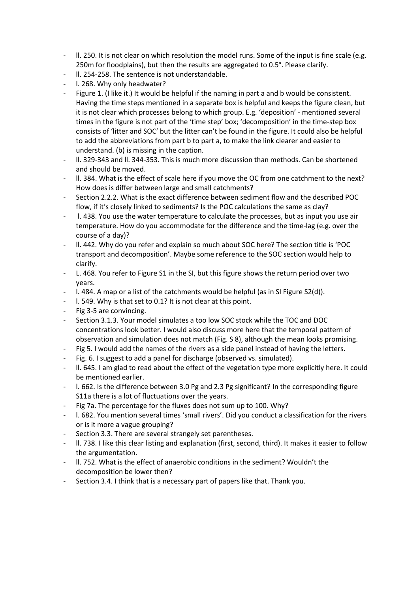- II. 250. It is not clear on which resolution the model runs. Some of the input is fine scale (e.g. 250m for floodplains), but then the results are aggregated to 0.5°. Please clarify.
- II. 254-258. The sentence is not understandable.
- I. 268. Why only headwater?
- Figure 1. (I like it.) It would be helpful if the naming in part a and b would be consistent. Having the time steps mentioned in a separate box is helpful and keeps the figure clean, but it is not clear which processes belong to which group. E.g. 'deposition' - mentioned several times in the figure is not part of the 'time step' box; 'decomposition' in the time-step box consists of 'litter and SOC' but the litter can't be found in the figure. It could also be helpful to add the abbreviations from part b to part a, to make the link clearer and easier to understand. (b) is missing in the caption.
- ll. 329-343 and ll. 344-353. This is much more discussion than methods. Can be shortened and should be moved.
- II. 384. What is the effect of scale here if you move the OC from one catchment to the next? How does is differ between large and small catchments?
- Section 2.2.2. What is the exact difference between sediment flow and the described POC flow, if it's closely linked to sediments? Is the POC calculations the same as clay?
- 1. 438. You use the water temperature to calculate the processes, but as input you use air temperature. How do you accommodate for the difference and the time-lag (e.g. over the course of a day)?
- ll. 442. Why do you refer and explain so much about SOC here? The section title is 'POC transport and decomposition'. Maybe some reference to the SOC section would help to clarify.
- L. 468. You refer to Figure S1 in the SI, but this figure shows the return period over two years.
- $\vert$ . 484. A map or a list of the catchments would be helpful (as in SI Figure S2(d)).
- l. 549. Why is that set to 0.1? It is not clear at this point.
- Fig 3-5 are convincing.
- Section 3.1.3. Your model simulates a too low SOC stock while the TOC and DOC concentrations look better. I would also discuss more here that the temporal pattern of observation and simulation does not match (Fig. S 8), although the mean looks promising.
- Fig 5. I would add the names of the rivers as a side panel instead of having the letters.
- Fig. 6. I suggest to add a panel for discharge (observed vs. simulated).
- ll. 645. I am glad to read about the effect of the vegetation type more explicitly here. It could be mentioned earlier.
- I. 662. Is the difference between 3.0 Pg and 2.3 Pg significant? In the corresponding figure S11a there is a lot of fluctuations over the years.
- Fig 7a. The percentage for the fluxes does not sum up to 100. Why?
- l. 682. You mention several times 'small rivers'. Did you conduct a classification for the rivers or is it more a vague grouping?
- Section 3.3. There are several strangely set parentheses.
- II. 738. I like this clear listing and explanation (first, second, third). It makes it easier to follow the argumentation.
- ll. 752. What is the effect of anaerobic conditions in the sediment? Wouldn't the decomposition be lower then?
- Section 3.4. I think that is a necessary part of papers like that. Thank you.